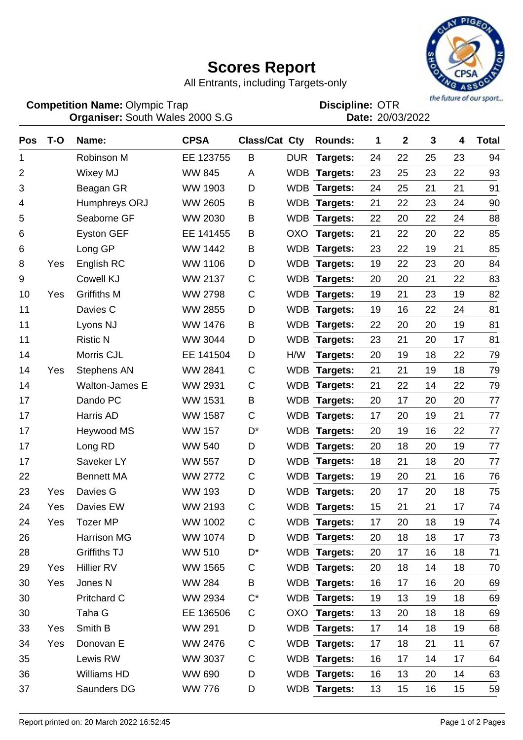## **Scores Report**



All Entrants, including Targets-only

Olympic Trap **Contact Contact Contact Contact Contact Contact Contact Contact Contact Contact Contact Contact Contact Contact Contact Contact Contact Contact Contact Contact Contact Contact Contact Contact Contact Contact Organiser: Date: Competition Name:**

South Wales 2000 S.G 20/03/2022 **Discipline:**

| <b>Pos</b> | $T-O$ | Name:                 | <b>CPSA</b>    | Class/Cat Cty |            | <b>Rounds:</b>  | 1  | $\mathbf 2$ | 3  | 4  | <b>Total</b> |
|------------|-------|-----------------------|----------------|---------------|------------|-----------------|----|-------------|----|----|--------------|
| 1          |       | Robinson M            | EE 123755      | B             | <b>DUR</b> | Targets:        | 24 | 22          | 25 | 23 | 94           |
| 2          |       | Wixey MJ              | <b>WW 845</b>  | A             |            | WDB Targets:    | 23 | 25          | 23 | 22 | 93           |
| 3          |       | Beagan GR             | <b>WW 1903</b> | D             |            | WDB Targets:    | 24 | 25          | 21 | 21 | 91           |
| 4          |       | Humphreys ORJ         | <b>WW 2605</b> | B             |            | WDB Targets:    | 21 | 22          | 23 | 24 | 90           |
| 5          |       | Seaborne GF           | <b>WW 2030</b> | Β             |            | WDB Targets:    | 22 | 20          | 22 | 24 | 88           |
| 6          |       | <b>Eyston GEF</b>     | EE 141455      | В             | <b>OXO</b> | Targets:        | 21 | 22          | 20 | 22 | 85           |
| 6          |       | Long GP               | WW 1442        | B             | <b>WDB</b> | Targets:        | 23 | 22          | 19 | 21 | 85           |
| 8          | Yes   | English RC            | <b>WW 1106</b> | D             |            | WDB Targets:    | 19 | 22          | 23 | 20 | 84           |
| 9          |       | Cowell KJ             | <b>WW 2137</b> | C             |            | WDB Targets:    | 20 | 20          | 21 | 22 | 83           |
| 10         | Yes   | <b>Griffiths M</b>    | <b>WW 2798</b> | C             |            | WDB Targets:    | 19 | 21          | 23 | 19 | 82           |
| 11         |       | Davies C              | <b>WW 2855</b> | D             |            | WDB Targets:    | 19 | 16          | 22 | 24 | 81           |
| 11         |       | Lyons NJ              | WW 1476        | B             | <b>WDB</b> | Targets:        | 22 | 20          | 20 | 19 | 81           |
| 11         |       | <b>Ristic N</b>       | WW 3044        | D             | <b>WDB</b> | Targets:        | 23 | 21          | 20 | 17 | 81           |
| 14         |       | Morris CJL            | EE 141504      | D             | H/W        | Targets:        | 20 | 19          | 18 | 22 | 79           |
| 14         | Yes   | <b>Stephens AN</b>    | <b>WW 2841</b> | C             | <b>WDB</b> | Targets:        | 21 | 21          | 19 | 18 | 79           |
| 14         |       | <b>Walton-James E</b> | <b>WW 2931</b> | C             | <b>WDB</b> | Targets:        | 21 | 22          | 14 | 22 | 79           |
| 17         |       | Dando PC              | <b>WW 1531</b> | B             | <b>WDB</b> | <b>Targets:</b> | 20 | 17          | 20 | 20 | 77           |
| 17         |       | Harris AD             | <b>WW 1587</b> | C             | <b>WDB</b> | Targets:        | 17 | 20          | 19 | 21 | 77           |
| 17         |       | Heywood MS            | <b>WW 157</b>  | D*            |            | WDB Targets:    | 20 | 19          | 16 | 22 | 77           |
| 17         |       | Long RD               | <b>WW 540</b>  | D             |            | WDB Targets:    | 20 | 18          | 20 | 19 | 77           |
| 17         |       | Saveker LY            | <b>WW 557</b>  | D             |            | WDB Targets:    | 18 | 21          | 18 | 20 | 77           |
| 22         |       | <b>Bennett MA</b>     | <b>WW 2772</b> | C             |            | WDB Targets:    | 19 | 20          | 21 | 16 | 76           |
| 23         | Yes   | Davies G              | <b>WW 193</b>  | D             | <b>WDB</b> | Targets:        | 20 | 17          | 20 | 18 | 75           |
| 24         | Yes   | Davies EW             | WW 2193        | C             | <b>WDB</b> | Targets:        | 15 | 21          | 21 | 17 | 74           |
| 24         | Yes   | <b>Tozer MP</b>       | WW 1002        | $\mathsf{C}$  |            | WDB Targets:    | 17 | 20          | 18 | 19 | 74           |
| 26         |       | <b>Harrison MG</b>    | <b>WW 1074</b> | D             |            | WDB Targets:    | 20 | 18          | 18 | 17 | 73           |
| 28         |       | <b>Griffiths TJ</b>   | <b>WW 510</b>  | D*            |            | WDB Targets:    | 20 | 17          | 16 | 18 | 71           |
| 29         | Yes   | Hillier RV            | <b>WW 1565</b> | C             |            | WDB Targets:    | 20 | 18          | 14 | 18 | 70           |
| 30         | Yes   | Jones N               | <b>WW 284</b>  | B             |            | WDB Targets:    | 16 | 17          | 16 | 20 | 69           |
| 30         |       | Pritchard C           | WW 2934        | $C^*$         |            | WDB Targets:    | 19 | 13          | 19 | 18 | 69           |
| 30         |       | Taha G                | EE 136506      | C             |            | OXO Targets:    | 13 | 20          | 18 | 18 | 69           |
| 33         | Yes   | Smith B               | <b>WW 291</b>  | D             |            | WDB Targets:    | 17 | 14          | 18 | 19 | 68           |
| 34         | Yes   | Donovan E             | WW 2476        | С             |            | WDB Targets:    | 17 | 18          | 21 | 11 | 67           |
| 35         |       | Lewis RW              | WW 3037        | C             |            | WDB Targets:    | 16 | 17          | 14 | 17 | 64           |
| 36         |       | Williams HD           | <b>WW 690</b>  | D             |            | WDB Targets:    | 16 | 13          | 20 | 14 | 63           |
| 37         |       | Saunders DG           | <b>WW 776</b>  | D             |            | WDB Targets:    | 13 | 15          | 16 | 15 | 59           |